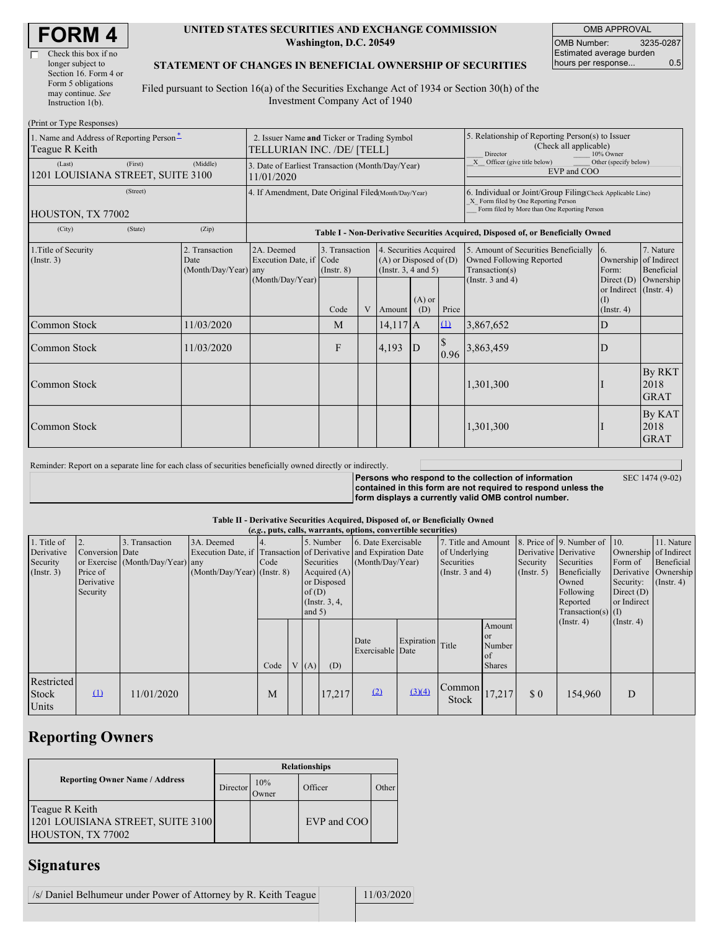| Check this box if no  |
|-----------------------|
| longer subject to     |
| Section 16. Form 4 or |
| Form 5 obligations    |
| may continue. See     |
| Instruction $1(b)$ .  |

#### **UNITED STATES SECURITIES AND EXCHANGE COMMISSION Washington, D.C. 20549**

OMB APPROVAL OMB Number: 3235-0287 Estimated average burden hours per response... 0.5

SEC 1474 (9-02)

### **STATEMENT OF CHANGES IN BENEFICIAL OWNERSHIP OF SECURITIES**

Filed pursuant to Section 16(a) of the Securities Exchange Act of 1934 or Section 30(h) of the Investment Company Act of 1940

| (Print or Type Responses)                                              |                                                                                  |                                              |                                   |   |                                                                              |                          |                                                                                                                                                    |                                                                                    |                                                                  |                               |  |
|------------------------------------------------------------------------|----------------------------------------------------------------------------------|----------------------------------------------|-----------------------------------|---|------------------------------------------------------------------------------|--------------------------|----------------------------------------------------------------------------------------------------------------------------------------------------|------------------------------------------------------------------------------------|------------------------------------------------------------------|-------------------------------|--|
| 1. Name and Address of Reporting Person <sup>*</sup><br>Teague R Keith | 2. Issuer Name and Ticker or Trading Symbol<br>TELLURIAN INC. /DE/ [TELL]        |                                              |                                   |   |                                                                              |                          | 5. Relationship of Reporting Person(s) to Issuer<br>(Check all applicable)<br>Director<br>10% Owner                                                |                                                                                    |                                                                  |                               |  |
| (First)<br>(Last)<br>1201 LOUISIANA STREET, SUITE 3100                 | 3. Date of Earliest Transaction (Month/Day/Year)<br>11/01/2020                   |                                              |                                   |   |                                                                              |                          | X Officer (give title below)<br>Other (specify below)<br>EVP and COO                                                                               |                                                                                    |                                                                  |                               |  |
| (Street)<br>HOUSTON, TX 77002                                          | 4. If Amendment, Date Original Filed(Month/Day/Year)                             |                                              |                                   |   |                                                                              |                          | 6. Individual or Joint/Group Filing(Check Applicable Line)<br>X Form filed by One Reporting Person<br>Form filed by More than One Reporting Person |                                                                                    |                                                                  |                               |  |
| (City)<br>(State)                                                      | Table I - Non-Derivative Securities Acquired, Disposed of, or Beneficially Owned |                                              |                                   |   |                                                                              |                          |                                                                                                                                                    |                                                                                    |                                                                  |                               |  |
| 1. Title of Security<br>(Insert. 3)                                    | 2. Transaction<br>Date<br>(Month/Day/Year)                                       | 2A. Deemed<br>Execution Date, if Code<br>any | 3. Transaction<br>$($ Instr. $8)$ |   | 4. Securities Acquired<br>$(A)$ or Disposed of $(D)$<br>(Insert. 3, 4 and 5) |                          |                                                                                                                                                    | 5. Amount of Securities Beneficially<br>Owned Following Reported<br>Transaction(s) | 16.<br>Ownership of Indirect<br>Form:                            | 7. Nature<br>Beneficial       |  |
|                                                                        |                                                                                  | (Month/Day/Year)                             | Code                              | V | Amount                                                                       | $(A)$ or<br>(D)<br>Price |                                                                                                                                                    | (Instr. $3$ and $4$ )                                                              | Direct $(D)$<br>or Indirect $($ Instr. 4 $)$<br>$($ Instr. 4 $)$ | Ownership                     |  |
| Common Stock                                                           | 11/03/2020                                                                       |                                              | M                                 |   | $14.117$ $A$                                                                 |                          | $\Omega$                                                                                                                                           | 3,867,652                                                                          | D                                                                |                               |  |
| Common Stock                                                           | 11/03/2020                                                                       |                                              | F                                 |   | 4,193                                                                        | $\mathbf{D}$             | <sup>S</sup><br>0.96                                                                                                                               | 3,863,459                                                                          | D                                                                |                               |  |
| Common Stock                                                           |                                                                                  |                                              |                                   |   |                                                                              |                          |                                                                                                                                                    | 1,301,300                                                                          |                                                                  | By RKT<br>2018<br><b>GRAT</b> |  |
| <b>Common Stock</b>                                                    |                                                                                  |                                              |                                   |   |                                                                              |                          |                                                                                                                                                    | 1,301,300                                                                          |                                                                  | By KAT<br>2018<br><b>GRAT</b> |  |

Reminder: Report on a separate line for each class of securities beneficially owned directly or indirectly.

**Persons who respond to the collection of information contained in this form are not required to respond unless the form displays a currently valid OMB control number.**

### **Table II - Derivative Securities Acquired, Disposed of, or Beneficially Owned**

| (e.g., puts, calls, warrants, options, convertible securities) |                                                       |                                                    |                                             |                                                                                                                                                                              |  |                                         |        |                                                                                    |                  |                                                  |                                                                                                                      |                                                                              |                                                                      |                  |  |
|----------------------------------------------------------------|-------------------------------------------------------|----------------------------------------------------|---------------------------------------------|------------------------------------------------------------------------------------------------------------------------------------------------------------------------------|--|-----------------------------------------|--------|------------------------------------------------------------------------------------|------------------|--------------------------------------------------|----------------------------------------------------------------------------------------------------------------------|------------------------------------------------------------------------------|----------------------------------------------------------------------|------------------|--|
| 1. Title of<br>Derivative<br>Security<br>(Insert. 3)           | Conversion Date<br>Price of<br>Derivative<br>Security | 3. Transaction<br>or Exercise (Month/Day/Year) any | 3A. Deemed<br>$(Month/Day/Year)$ (Instr. 8) | 5. Number<br>Execution Date, if Transaction of Derivative and Expiration Date<br>Securities<br>Code<br>Acquired $(A)$<br>or Disposed<br>of(D)<br>(Instr. $3, 4,$<br>and $5)$ |  | 6. Date Exercisable<br>(Month/Day/Year) |        | 7. Title and Amount<br>of Underlying<br><b>Securities</b><br>(Instr. $3$ and $4$ ) |                  | Derivative Derivative<br>Security<br>(Insert. 5) | 8. Price of 9. Number of 10.<br>Securities<br>Beneficially<br>Owned<br>Following<br>Reported<br>Transaction(s) $(I)$ | Ownership of Indirect<br>Form of<br>Security:<br>Direct $(D)$<br>or Indirect | 11. Nature<br>Beneficial<br>Derivative Ownership<br>$($ Instr. 4 $)$ |                  |  |
|                                                                |                                                       |                                                    |                                             | Code                                                                                                                                                                         |  | V(A)                                    | (D)    | Date<br>Exercisable Date                                                           | Expiration Title |                                                  | Amount<br><sub>or</sub><br>Number<br>of<br><b>Shares</b>                                                             |                                                                              | $($ Instr. 4 $)$                                                     | $($ Instr. 4 $)$ |  |
| Restricted<br><b>Stock</b><br>Units                            | $\mathbf{u}$                                          | 11/01/2020                                         |                                             | M                                                                                                                                                                            |  |                                         | 17,217 | (2)                                                                                | (3)(4)           | Common<br><b>Stock</b>                           | 17,217                                                                                                               | \$0                                                                          | 154,960                                                              | D                |  |

# **Reporting Owners**

|                                                                          | <b>Relationships</b> |               |             |       |  |  |  |  |  |
|--------------------------------------------------------------------------|----------------------|---------------|-------------|-------|--|--|--|--|--|
| <b>Reporting Owner Name / Address</b>                                    | Director             | 10%<br>Owner) | Officer     | Other |  |  |  |  |  |
| Teague R Keith<br>1201 LOUISIANA STREET, SUITE 3100<br>HOUSTON, TX 77002 |                      |               | EVP and COO |       |  |  |  |  |  |

## **Signatures**

| /s/ Daniel Belhumeur under Power of Attorney by R. Keith Teague | 11/03/2020 |
|-----------------------------------------------------------------|------------|
|                                                                 |            |